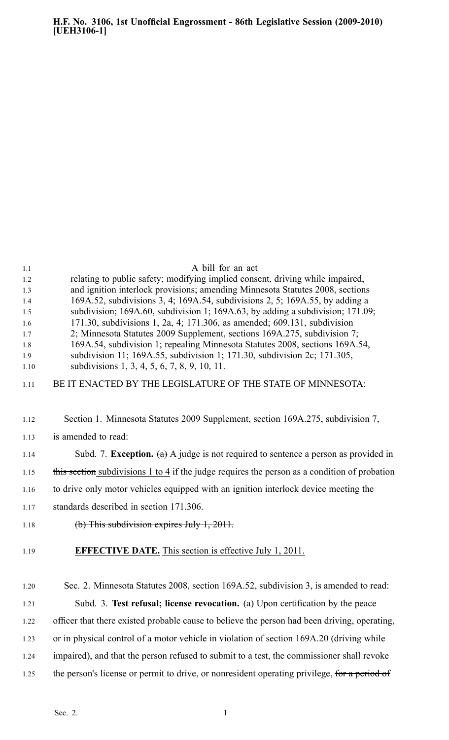| 1.1        | A bill for an act                                                                                                                                        |
|------------|----------------------------------------------------------------------------------------------------------------------------------------------------------|
| 1.2        | relating to public safety; modifying implied consent, driving while impaired,                                                                            |
| 1.3        | and ignition interlock provisions; amending Minnesota Statutes 2008, sections                                                                            |
| 1.4        | 169A.52, subdivisions 3, 4; 169A.54, subdivisions 2, 5; 169A.55, by adding a                                                                             |
| 1.5        | subdivision; 169A.60, subdivision 1; 169A.63, by adding a subdivision; 171.09;                                                                           |
| 1.6        | 171.30, subdivisions 1, 2a, 4; 171.306, as amended; 609.131, subdivision                                                                                 |
| 1.7<br>1.8 | 2; Minnesota Statutes 2009 Supplement, sections 169A.275, subdivision 7;<br>169A.54, subdivision 1; repealing Minnesota Statutes 2008, sections 169A.54, |
| 1.9        | subdivision 11; 169A.55, subdivision 1; 171.30, subdivision 2c; 171.305,                                                                                 |
| 1.10       | subdivisions 1, 3, 4, 5, 6, 7, 8, 9, 10, 11.                                                                                                             |
| 1.11       | BE IT ENACTED BY THE LEGISLATURE OF THE STATE OF MINNESOTA:                                                                                              |
| 1.12       | Section 1. Minnesota Statutes 2009 Supplement, section 169A.275, subdivision 7,                                                                          |
| 1.13       | is amended to read:                                                                                                                                      |
| 1.14       | Subd. 7. <b>Exception.</b> (a) A judge is not required to sentence a person as provided in                                                               |
| 1.15       | this section subdivisions 1 to 4 if the judge requires the person as a condition of probation                                                            |
| 1.16       | to drive only motor vehicles equipped with an ignition interlock device meeting the                                                                      |
| 1.17       | standards described in section 171.306.                                                                                                                  |
| 1.18       | $(b)$ This subdivision expires July 1, 2011.                                                                                                             |
| 1.19       | <b>EFFECTIVE DATE.</b> This section is effective July 1, 2011.                                                                                           |
| 1.20       | Sec. 2. Minnesota Statutes 2008, section 169A.52, subdivision 3, is amended to read:                                                                     |
| 1.21       | Subd. 3. Test refusal; license revocation. (a) Upon certification by the peace                                                                           |
| 1.22       | officer that there existed probable cause to believe the person had been driving, operating,                                                             |
| 1.23       | or in physical control of a motor vehicle in violation of section 169A.20 (driving while                                                                 |
| 1.24       | impaired), and that the person refused to submit to a test, the commissioner shall revoke                                                                |
| 1.25       | the person's license or permit to drive, or nonresident operating privilege, for a period of                                                             |
|            |                                                                                                                                                          |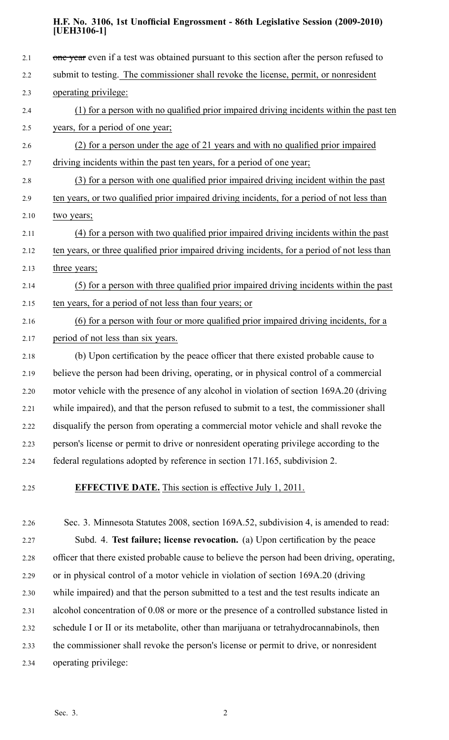| 2.1  | one year even if a test was obtained pursuant to this section after the person refused to     |
|------|-----------------------------------------------------------------------------------------------|
| 2.2  | submit to testing. The commissioner shall revoke the license, permit, or nonresident          |
| 2.3  | operating privilege:                                                                          |
| 2.4  | (1) for a person with no qualified prior impaired driving incidents within the past ten       |
| 2.5  | years, for a period of one year;                                                              |
| 2.6  | (2) for a person under the age of 21 years and with no qualified prior impaired               |
| 2.7  | driving incidents within the past ten years, for a period of one year;                        |
| 2.8  | (3) for a person with one qualified prior impaired driving incident within the past           |
| 2.9  | ten years, or two qualified prior impaired driving incidents, for a period of not less than   |
| 2.10 | two years;                                                                                    |
| 2.11 | (4) for a person with two qualified prior impaired driving incidents within the past          |
| 2.12 | ten years, or three qualified prior impaired driving incidents, for a period of not less than |
| 2.13 | three years;                                                                                  |
| 2.14 | (5) for a person with three qualified prior impaired driving incidents within the past        |
| 2.15 | ten years, for a period of not less than four years; or                                       |
| 2.16 | (6) for a person with four or more qualified prior impaired driving incidents, for a          |
| 2.17 | period of not less than six years.                                                            |
| 2.18 | (b) Upon certification by the peace officer that there existed probable cause to              |
| 2.19 | believe the person had been driving, operating, or in physical control of a commercial        |
| 2.20 | motor vehicle with the presence of any alcohol in violation of section 169A.20 (driving       |
| 2.21 | while impaired), and that the person refused to submit to a test, the commissioner shall      |
| 2.22 | disqualify the person from operating a commercial motor vehicle and shall revoke the          |
| 2.23 | person's license or permit to drive or nonresident operating privilege according to the       |
| 2.24 | federal regulations adopted by reference in section 171.165, subdivision 2.                   |
|      |                                                                                               |

### 2.25 **EFFECTIVE DATE.** This section is effective July 1, 2011.

2.26 Sec. 3. Minnesota Statutes 2008, section 169A.52, subdivision 4, is amended to read: 2.27 Subd. 4. **Test failure; license revocation.** (a) Upon certification by the peace 2.28 officer that there existed probable cause to believe the person had been driving, operating, 2.29 or in physical control of <sup>a</sup> motor vehicle in violation of section 169A.20 (driving 2.30 while impaired) and that the person submitted to <sup>a</sup> test and the test results indicate an 2.31 alcohol concentration of 0.08 or more or the presence of <sup>a</sup> controlled substance listed in 2.32 schedule I or II or its metabolite, other than marijuana or tetrahydrocannabinols, then 2.33 the commissioner shall revoke the person's license or permit to drive, or nonresident 2.34 operating privilege: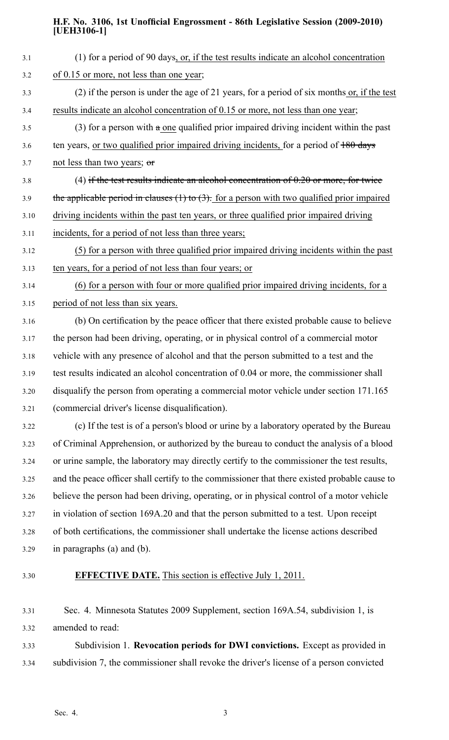| 3.1  | (1) for a period of 90 days, or, if the test results indicate an alcohol concentration           |
|------|--------------------------------------------------------------------------------------------------|
| 3.2  | of 0.15 or more, not less than one year;                                                         |
| 3.3  | (2) if the person is under the age of 21 years, for a period of six months or, if the test       |
| 3.4  | results indicate an alcohol concentration of 0.15 or more, not less than one year;               |
| 3.5  | (3) for a person with $\alpha$ one qualified prior impaired driving incident within the past     |
| 3.6  | ten years, or two qualified prior impaired driving incidents, for a period of 180 days           |
| 3.7  | not less than two years; $\sigma$                                                                |
| 3.8  | (4) if the test results indicate an alcohol concentration of $0.20$ or more, for twice           |
| 3.9  | the applicable period in clauses $(1)$ to $(3)$ . for a person with two qualified prior impaired |
| 3.10 | driving incidents within the past ten years, or three qualified prior impaired driving           |
| 3.11 | incidents, for a period of not less than three years;                                            |
| 3.12 | (5) for a person with three qualified prior impaired driving incidents within the past           |
| 3.13 | ten years, for a period of not less than four years; or                                          |
| 3.14 | (6) for a person with four or more qualified prior impaired driving incidents, for a             |
| 3.15 | period of not less than six years.                                                               |
| 3.16 | (b) On certification by the peace officer that there existed probable cause to believe           |
| 3.17 | the person had been driving, operating, or in physical control of a commercial motor             |
| 3.18 | vehicle with any presence of alcohol and that the person submitted to a test and the             |
| 3.19 | test results indicated an alcohol concentration of 0.04 or more, the commissioner shall          |
| 3.20 | disqualify the person from operating a commercial motor vehicle under section 171.165            |
| 3.21 | (commercial driver's license disqualification).                                                  |
| 3.22 | (c) If the test is of a person's blood or urine by a laboratory operated by the Bureau           |
| 3.23 | of Criminal Apprehension, or authorized by the bureau to conduct the analysis of a blood         |
| 3.24 | or urine sample, the laboratory may directly certify to the commissioner the test results,       |
| 3.25 | and the peace officer shall certify to the commissioner that there existed probable cause to     |
| 3.26 | believe the person had been driving, operating, or in physical control of a motor vehicle        |
| 3.27 | in violation of section 169A.20 and that the person submitted to a test. Upon receipt            |
| 3.28 | of both certifications, the commissioner shall undertake the license actions described           |
| 3.29 | in paragraphs (a) and (b).                                                                       |

## 3.30 **EFFECTIVE DATE.** This section is effective July 1, 2011.

3.31 Sec. 4. Minnesota Statutes 2009 Supplement, section 169A.54, subdivision 1, is 3.32 amended to read:

3.33 Subdivision 1. **Revocation periods for DWI convictions.** Except as provided in 3.34 subdivision 7, the commissioner shall revoke the driver's license of <sup>a</sup> person convicted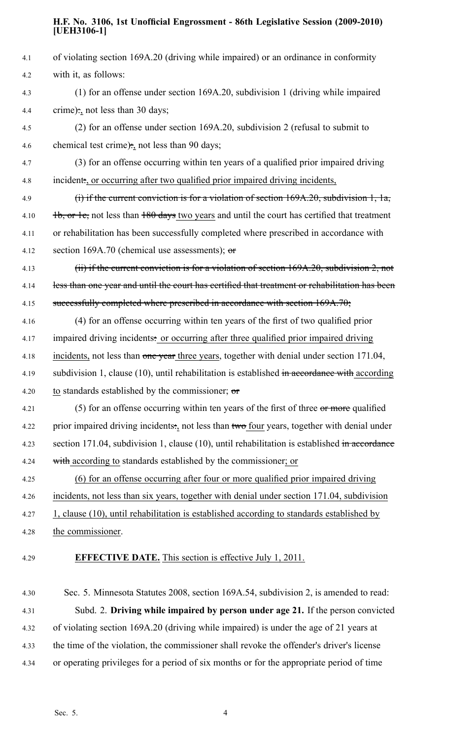| 4.1  | of violating section 169A.20 (driving while impaired) or an ordinance in conformity            |
|------|------------------------------------------------------------------------------------------------|
| 4.2  | with it, as follows:                                                                           |
| 4.3  | (1) for an offense under section 169A.20, subdivision 1 (driving while impaired                |
| 4.4  | crime): not less than 30 days;                                                                 |
| 4.5  | (2) for an offense under section 169A.20, subdivision 2 (refusal to submit to                  |
| 4.6  | chemical test crime): not less than 90 days;                                                   |
| 4.7  | (3) for an offense occurring within ten years of a qualified prior impaired driving            |
| 4.8  | incident., or occurring after two qualified prior impaired driving incidents,                  |
| 4.9  | (i) if the current conviction is for a violation of section $169A.20$ , subdivision 1, 1a,     |
| 4.10 | 1b, or 1e, not less than 180 days two years and until the court has certified that treatment   |
| 4.11 | or rehabilitation has been successfully completed where prescribed in accordance with          |
| 4.12 | section 169A.70 (chemical use assessments); $\sigma$                                           |
| 4.13 | (ii) if the current conviction is for a violation of section 169A.20, subdivision 2, not       |
| 4.14 | less than one year and until the court has certified that treatment or rehabilitation has been |
| 4.15 | successfully completed where prescribed in accordance with section 169A.70;                    |
| 4.16 | (4) for an offense occurring within ten years of the first of two qualified prior              |
| 4.17 | impaired driving incidents: or occurring after three qualified prior impaired driving          |
| 4.18 | incidents, not less than one year three years, together with denial under section 171.04,      |
| 4.19 | subdivision 1, clause (10), until rehabilitation is established in accordance with according   |
| 4.20 | to standards established by the commissioner; $\sigma$                                         |
| 4.21 | (5) for an offense occurring within ten years of the first of three or more qualified          |
| 4.22 | prior impaired driving incidents: not less than two four years, together with denial under     |
| 4.23 | section 171.04, subdivision 1, clause (10), until rehabilitation is established in accordance  |
| 4.24 | with according to standards established by the commissioner; or                                |
| 4.25 | (6) for an offense occurring after four or more qualified prior impaired driving               |
| 4.26 | incidents, not less than six years, together with denial under section 171.04, subdivision     |
| 4.27 | $1$ , clause (10), until rehabilitation is established according to standards established by   |
| 4.28 | the commissioner.                                                                              |
| 4.29 | <b>EFFECTIVE DATE.</b> This section is effective July 1, 2011.                                 |
| 4.30 | Sec. 5. Minnesota Statutes 2008, section 169A.54, subdivision 2, is amended to read:           |
| 4.31 | Subd. 2. Driving while impaired by person under age 21. If the person convicted                |
| 4.32 | of violating section 169A.20 (driving while impaired) is under the age of 21 years at          |
| 4.33 | the time of the violation, the commissioner shall revoke the offender's driver's license       |

4.34 or operating privileges for <sup>a</sup> period of six months or for the appropriate period of time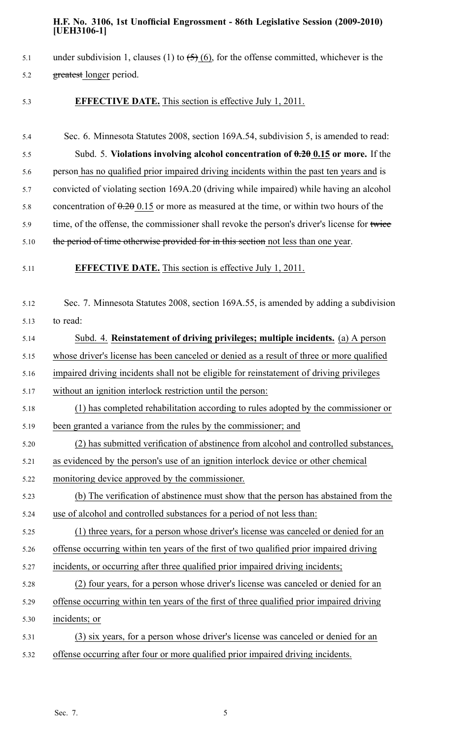- 5.1 under subdivision 1, clauses (1) to  $\left(5\right)$  (6), for the offense committed, whichever is the 5.2 greatest longer period.
- 5.3 **EFFECTIVE DATE.** This section is effective July 1, 2011.
- 5.4 Sec. 6. Minnesota Statutes 2008, section 169A.54, subdivision 5, is amended to read: 5.5 Subd. 5. **Violations involving alcohol concentration of 0.20 0.15 or more.** If the 5.6 person has no qualified prior impaired driving incidents within the pas<sup>t</sup> ten years and is 5.7 convicted of violating section 169A.20 (driving while impaired) while having an alcohol 5.8 concentration of  $0.20015$  or more as measured at the time, or within two hours of the 5.9 time, of the offense, the commissioner shall revoke the person's driver's license for twice 5.10 the period of time otherwise provided for in this section not less than one year. 5.11 **EFFECTIVE DATE.** This section is effective July 1, 2011. 5.12 Sec. 7. Minnesota Statutes 2008, section 169A.55, is amended by adding <sup>a</sup> subdivision 5.13 to read: 5.14 Subd. 4. **Reinstatement of driving privileges; multiple incidents.** (a) A person 5.15 whose driver's license has been canceled or denied as <sup>a</sup> result of three or more qualified 5.16 impaired driving incidents shall not be eligible for reinstatement of driving privileges 5.17 without an ignition interlock restriction until the person: 5.18 (1) has completed rehabilitation according to rules adopted by the commissioner or 5.19 been granted <sup>a</sup> variance from the rules by the commissioner; and 5.20 (2) has submitted verification of abstinence from alcohol and controlled substances, 5.21 as evidenced by the person's use of an ignition interlock device or other chemical 5.22 monitoring device approved by the commissioner. 5.23 (b) The verification of abstinence must show that the person has abstained from the 5.24 use of alcohol and controlled substances for <sup>a</sup> period of not less than: 5.25 (1) three years, for <sup>a</sup> person whose driver's license was canceled or denied for an 5.26 offense occurring within ten years of the first of two qualified prior impaired driving 5.27 incidents, or occurring after three qualified prior impaired driving incidents; 5.28 (2) four years, for <sup>a</sup> person whose driver's license was canceled or denied for an 5.29 offense occurring within ten years of the first of three qualified prior impaired driving 5.30 incidents; or 5.31 (3) six years, for <sup>a</sup> person whose driver's license was canceled or denied for an 5.32 offense occurring after four or more qualified prior impaired driving incidents.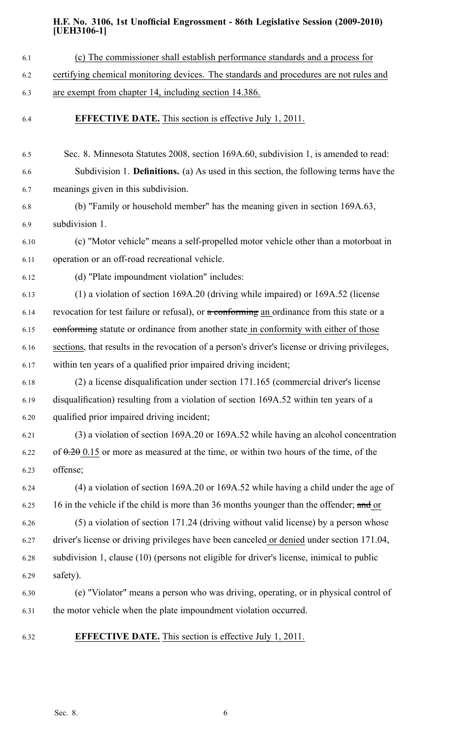- 6.1 (c) The commissioner shall establish performance standards and <sup>a</sup> process for
- 6.2 certifying chemical monitoring devices. The standards and procedures are not rules and
- 6.3 are exemp<sup>t</sup> from chapter 14, including section 14.386.
- 6.4 **EFFECTIVE DATE.** This section is effective July 1, 2011.
- 6.5 Sec. 8. Minnesota Statutes 2008, section 169A.60, subdivision 1, is amended to read: 6.6 Subdivision 1. **Definitions.** (a) As used in this section, the following terms have the 6.7 meanings given in this subdivision.
- 6.8 (b) "Family or household member" has the meaning given in section 169A.63, 6.9 subdivision 1.
- 6.10 (c) "Motor vehicle" means <sup>a</sup> self-propelled motor vehicle other than <sup>a</sup> motorboat in 6.11 operation or an off-road recreational vehicle.
- 6.12 (d) "Plate impoundment violation" includes:
- 6.13 (1) <sup>a</sup> violation of section 169A.20 (driving while impaired) or 169A.52 (license
- 6.14 revocation for test failure or refusal), or  $\alpha$  conforming an ordinance from this state or a
- 6.15 conforming statute or ordinance from another state in conformity with either of those
- 6.16 sections, that results in the revocation of <sup>a</sup> person's driver's license or driving privileges,
- 6.17 within ten years of <sup>a</sup> qualified prior impaired driving incident;
- 6.18 (2) <sup>a</sup> license disqualification under section 171.165 (commercial driver's license 6.19 disqualification) resulting from <sup>a</sup> violation of section 169A.52 within ten years of <sup>a</sup> 6.20 qualified prior impaired driving incident;
- 6.21 (3) <sup>a</sup> violation of section 169A.20 or 169A.52 while having an alcohol concentration 6.22 of  $\theta$ . 20 0.15 or more as measured at the time, or within two hours of the time, of the 6.23 offense;
- 6.24 (4) <sup>a</sup> violation of section 169A.20 or 169A.52 while having <sup>a</sup> child under the age of 6.25 16 in the vehicle if the child is more than 36 months younger than the offender; and or 6.26 (5) <sup>a</sup> violation of section 171.24 (driving without valid license) by <sup>a</sup> person whose 6.27 driver's license or driving privileges have been canceled or denied under section 171.04,
- 6.28 subdivision 1, clause (10) (persons not eligible for driver's license, inimical to public 6.29 safety).
- 6.30 (e) "Violator" means <sup>a</sup> person who was driving, operating, or in physical control of 6.31 the motor vehicle when the plate impoundment violation occurred.
- 6.32 **EFFECTIVE DATE.** This section is effective July 1, 2011.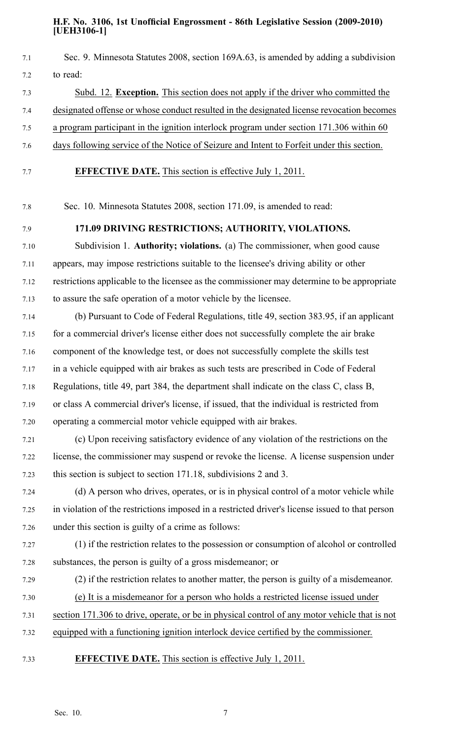| Sec. 9. Minnesota Statutes 2008, section 169A.63, is amended by adding a subdivision            |
|-------------------------------------------------------------------------------------------------|
| to read:                                                                                        |
| Subd. 12. Exception. This section does not apply if the driver who committed the                |
| designated offense or whose conduct resulted in the designated license revocation becomes       |
| a program participant in the ignition interlock program under section 171.306 within 60         |
| days following service of the Notice of Seizure and Intent to Forfeit under this section.       |
| <b>EFFECTIVE DATE.</b> This section is effective July 1, 2011.                                  |
| Sec. 10. Minnesota Statutes 2008, section 171.09, is amended to read:                           |
| 171.09 DRIVING RESTRICTIONS; AUTHORITY, VIOLATIONS.                                             |
| Subdivision 1. Authority; violations. (a) The commissioner, when good cause                     |
| appears, may impose restrictions suitable to the licensee's driving ability or other            |
| restrictions applicable to the licensee as the commissioner may determine to be appropriate     |
| to assure the safe operation of a motor vehicle by the licensee.                                |
| (b) Pursuant to Code of Federal Regulations, title 49, section 383.95, if an applicant          |
| for a commercial driver's license either does not successfully complete the air brake           |
| component of the knowledge test, or does not successfully complete the skills test              |
| in a vehicle equipped with air brakes as such tests are prescribed in Code of Federal           |
| Regulations, title 49, part 384, the department shall indicate on the class C, class B,         |
| or class A commercial driver's license, if issued, that the individual is restricted from       |
| operating a commercial motor vehicle equipped with air brakes.                                  |
| (c) Upon receiving satisfactory evidence of any violation of the restrictions on the            |
| license, the commissioner may suspend or revoke the license. A license suspension under         |
| this section is subject to section 171.18, subdivisions 2 and 3.                                |
| (d) A person who drives, operates, or is in physical control of a motor vehicle while           |
| in violation of the restrictions imposed in a restricted driver's license issued to that person |
| under this section is guilty of a crime as follows:                                             |
| (1) if the restriction relates to the possession or consumption of alcohol or controlled        |
| substances, the person is guilty of a gross misdemeanor; or                                     |
| (2) if the restriction relates to another matter, the person is guilty of a misdemeanor.        |
| (e) It is a misdemeanor for a person who holds a restricted license issued under                |
| section 171.306 to drive, operate, or be in physical control of any motor vehicle that is not   |
| equipped with a functioning ignition interlock device certified by the commissioner.            |
| <b>EFFECTIVE DATE.</b> This section is effective July 1, 2011.                                  |
|                                                                                                 |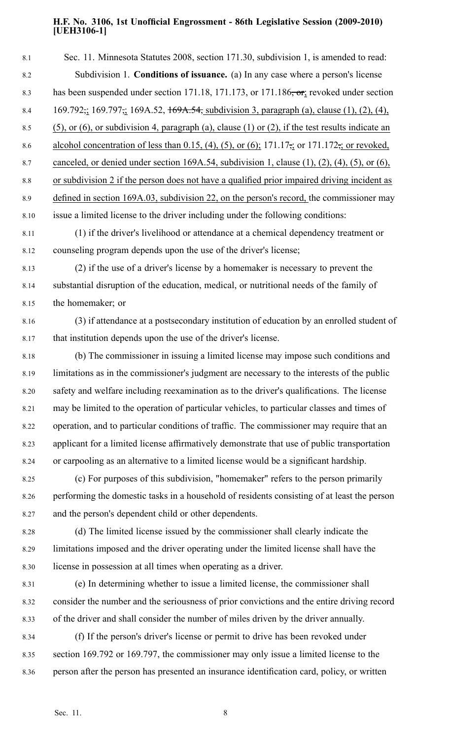| 8.1  | Sec. 11. Minnesota Statutes 2008, section 171.30, subdivision 1, is amended to read:                                   |
|------|------------------------------------------------------------------------------------------------------------------------|
| 8.2  | Subdivision 1. Conditions of issuance. (a) In any case where a person's license                                        |
| 8.3  | has been suspended under section 171.18, 171.173, or 171.186 <del>, or</del> ; revoked under section                   |
| 8.4  | 169.792; 169.797; 169A.52, 169A.54, subdivision 3, paragraph (a), clause (1), (2), (4),                                |
| 8.5  | $(5)$ , or $(6)$ , or subdivision 4, paragraph $(a)$ , clause $(1)$ or $(2)$ , if the test results indicate an         |
| 8.6  | alcohol concentration of less than 0.15, (4), (5), or (6); 171.17 $\frac{1}{22}$ or 171.172 $\frac{1}{22}$ or revoked, |
| 8.7  | canceled, or denied under section 169A.54, subdivision 1, clause $(1)$ , $(2)$ , $(4)$ , $(5)$ , or $(6)$ ,            |
| 8.8  | or subdivision 2 if the person does not have a qualified prior impaired driving incident as                            |
| 8.9  | defined in section 169A.03, subdivision 22, on the person's record, the commissioner may                               |
| 8.10 | issue a limited license to the driver including under the following conditions:                                        |
| 8.11 | (1) if the driver's livelihood or attendance at a chemical dependency treatment or                                     |
| 8.12 | counseling program depends upon the use of the driver's license;                                                       |
| 8.13 | (2) if the use of a driver's license by a homemaker is necessary to prevent the                                        |
| 8.14 | substantial disruption of the education, medical, or nutritional needs of the family of                                |
| 8.15 | the homemaker; or                                                                                                      |
| 8.16 | (3) if attendance at a postsecondary institution of education by an enrolled student of                                |
| 8.17 | that institution depends upon the use of the driver's license.                                                         |
| 8.18 | (b) The commissioner in issuing a limited license may impose such conditions and                                       |
| 8.19 | limitations as in the commissioner's judgment are necessary to the interests of the public                             |
| 8.20 | safety and welfare including reexamination as to the driver's qualifications. The license                              |
| 8.21 | may be limited to the operation of particular vehicles, to particular classes and times of                             |
| 8.22 | operation, and to particular conditions of traffic. The commissioner may require that an                               |
| 8.23 | applicant for a limited license affirmatively demonstrate that use of public transportation                            |
| 8.24 | or carpooling as an alternative to a limited license would be a significant hardship.                                  |
| 8.25 | (c) For purposes of this subdivision, "homemaker" refers to the person primarily                                       |
| 8.26 | performing the domestic tasks in a household of residents consisting of at least the person                            |
| 8.27 | and the person's dependent child or other dependents.                                                                  |
| 8.28 | (d) The limited license issued by the commissioner shall clearly indicate the                                          |
| 8.29 | limitations imposed and the driver operating under the limited license shall have the                                  |
| 8.30 | license in possession at all times when operating as a driver.                                                         |
| 8.31 | (e) In determining whether to issue a limited license, the commissioner shall                                          |
| 8.32 | consider the number and the seriousness of prior convictions and the entire driving record                             |
| 8.33 | of the driver and shall consider the number of miles driven by the driver annually.                                    |
| 8.34 | (f) If the person's driver's license or permit to drive has been revoked under                                         |
| 8.35 | section 169.792 or 169.797, the commissioner may only issue a limited license to the                                   |

8.36 person after the person has presented an insurance identification card, policy, or written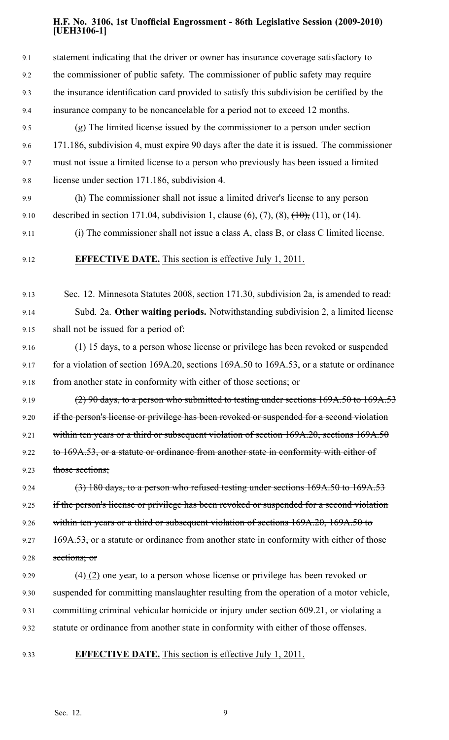| 9.1  | statement indicating that the driver or owner has insurance coverage satisfactory to                     |
|------|----------------------------------------------------------------------------------------------------------|
| 9.2  | the commissioner of public safety. The commissioner of public safety may require                         |
| 9.3  | the insurance identification card provided to satisfy this subdivision be certified by the               |
| 9.4  | insurance company to be noncancelable for a period not to exceed 12 months.                              |
| 9.5  | (g) The limited license issued by the commissioner to a person under section                             |
| 9.6  | 171.186, subdivision 4, must expire 90 days after the date it is issued. The commissioner                |
| 9.7  | must not issue a limited license to a person who previously has been issued a limited                    |
| 9.8  | license under section 171.186, subdivision 4.                                                            |
| 9.9  | (h) The commissioner shall not issue a limited driver's license to any person                            |
| 9.10 | described in section 171.04, subdivision 1, clause $(6)$ , $(7)$ , $(8)$ , $(10)$ , $(11)$ , or $(14)$ . |
| 9.11 | (i) The commissioner shall not issue a class A, class B, or class C limited license.                     |
| 9.12 | <b>EFFECTIVE DATE.</b> This section is effective July 1, 2011.                                           |
| 9.13 | Sec. 12. Minnesota Statutes 2008, section 171.30, subdivision 2a, is amended to read:                    |
| 9.14 | Subd. 2a. Other waiting periods. Notwithstanding subdivision 2, a limited license                        |
| 9.15 | shall not be issued for a period of:                                                                     |
| 9.16 | (1) 15 days, to a person whose license or privilege has been revoked or suspended                        |
| 9.17 | for a violation of section 169A.20, sections 169A.50 to 169A.53, or a statute or ordinance               |
| 9.18 | from another state in conformity with either of those sections; or                                       |
| 9.19 | (2) 90 days, to a person who submitted to testing under sections 169A.50 to 169A.53                      |
| 9.20 | if the person's license or privilege has been revoked or suspended for a second violation                |
| 9.21 | within ten years or a third or subsequent violation of section 169A.20, sections 169A.50                 |
| 9.22 | to 169A.53, or a statute or ordinance from another state in conformity with either of                    |
| 9.23 | those sections;                                                                                          |
| 9.24 | $(3)$ 180 days, to a person who refused testing under sections 169A.50 to 169A.53                        |
| 9.25 | if the person's license or privilege has been revoked or suspended for a second violation                |
| 9.26 | within ten years or a third or subsequent violation of sections 169A.20, 169A.50 to                      |
| 9.27 | 169A.53, or a statute or ordinance from another state in conformity with either of those                 |
| 9.28 | sections; or                                                                                             |
| 9.29 | $\left(\frac{4}{2}\right)$ one year, to a person whose license or privilege has been revoked or          |
| 9.30 | suspended for committing manslaughter resulting from the operation of a motor vehicle,                   |
| 9.31 | committing criminal vehicular homicide or injury under section 609.21, or violating a                    |
| 9.32 | statute or ordinance from another state in conformity with either of those offenses.                     |
| 9.33 | <b>EFFECTIVE DATE.</b> This section is effective July 1, 2011.                                           |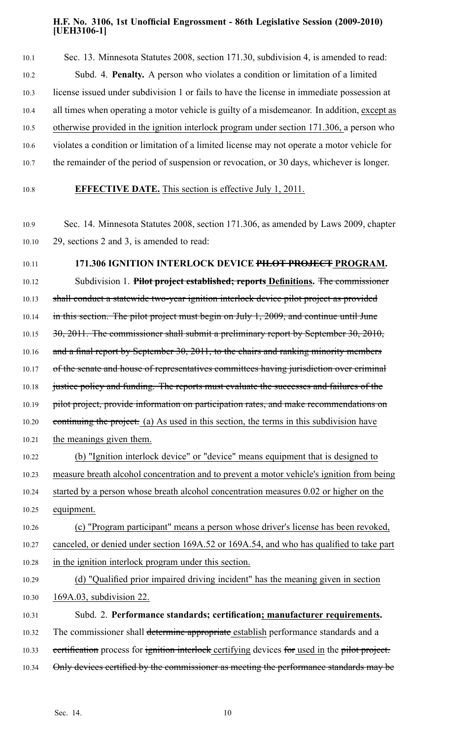10.1 Sec. 13. Minnesota Statutes 2008, section 171.30, subdivision 4, is amended to read: 10.2 Subd. 4. **Penalty.** A person who violates <sup>a</sup> condition or limitation of <sup>a</sup> limited 10.3 license issued under subdivision 1 or fails to have the license in immediate possession at 10.4 all times when operating <sup>a</sup> motor vehicle is guilty of <sup>a</sup> misdemeanor. In addition, excep<sup>t</sup> as 10.5 otherwise provided in the ignition interlock program under section 171.306, <sup>a</sup> person who 10.6 violates <sup>a</sup> condition or limitation of <sup>a</sup> limited license may not operate <sup>a</sup> motor vehicle for 10.7 the remainder of the period of suspension or revocation, or 30 days, whichever is longer.

10.8 **EFFECTIVE DATE.** This section is effective July 1, 2011.

- 10.9 Sec. 14. Minnesota Statutes 2008, section 171.306, as amended by Laws 2009, chapter 10.10 29, sections 2 and 3, is amended to read:
- 10.11 **171.306 IGNITION INTERLOCK DEVICE PILOT PROJECT PROGRAM.**

10.12 Subdivision 1. **Pilot project established; reports Definitions.** The commissioner

10.13 shall conduct a statewide two-year ignition interlock device pilot project as provided 10.14 in this section. The pilot project must begin on July 1, 2009, and continue until June

10.15 30, 2011. The commissioner shall submit a preliminary report by September 30, 2010,

10.16 and a final report by September 30, 2011, to the chairs and ranking minority members

10.17 of the senate and house of representatives committees having jurisdiction over criminal

10.18 justice policy and funding. The reports must evaluate the successes and failures of the

10.19 pilot project, provide information on participation rates, and make recommendations on

10.20 continuing the project. (a) As used in this section, the terms in this subdivision have

10.21 the meanings given them.

10.22 (b) "Ignition interlock device" or "device" means equipment that is designed to 10.23 measure breath alcohol concentration and to preven<sup>t</sup> <sup>a</sup> motor vehicle's ignition from being 10.24 started by <sup>a</sup> person whose breath alcohol concentration measures 0.02 or higher on the 10.25 equipment.

10.26 (c) "Program participant" means <sup>a</sup> person whose driver's license has been revoked, 10.27 canceled, or denied under section 169A.52 or 169A.54, and who has qualified to take par<sup>t</sup> 10.28 in the ignition interlock program under this section.

10.29 (d) "Qualified prior impaired driving incident" has the meaning given in section 10.30 169A.03, subdivision 22.

10.31 Subd. 2. **Performance standards; certification; manufacturer requirements.** 10.32 The commissioner shall determine appropriate establish performance standards and a 10.33 eertification process for ignition interlock certifying devices for used in the pilot project. 10.34 Only devices certified by the commissioner as meeting the performance standards may be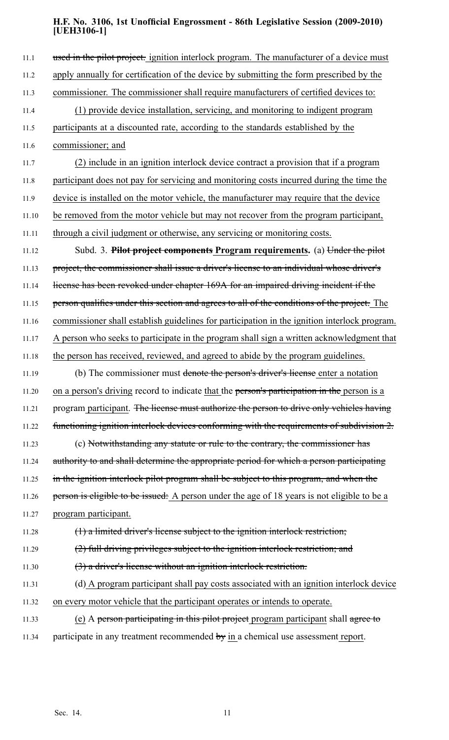11.1 used in the pilot project. ignition interlock program. The manufacturer of a device must 11.2 apply annually for certification of the device by submitting the form prescribed by the 11.3 commissioner. The commissioner shall require manufacturers of certified devices to: 11.4 (1) provide device installation, servicing, and monitoring to indigent program 11.5 participants at <sup>a</sup> discounted rate, according to the standards established by the 11.6 commissioner; and 11.7 (2) include in an ignition interlock device contract <sup>a</sup> provision that if <sup>a</sup> program 11.8 participant does not pay for servicing and monitoring costs incurred during the time the 11.9 device is installed on the motor vehicle, the manufacturer may require that the device 11.10 be removed from the motor vehicle but may not recover from the program participant, 11.11 through <sup>a</sup> civil judgment or otherwise, any servicing or monitoring costs. 11.12 Subd. 3. **Pilot project components Program requirements.** (a) Under the pilot 11.13 project, the commissioner shall issue a driver's license to an individual whose driver's 11.14 license has been revoked under chapter 169A for an impaired driving incident if the 11.15 person qualifies under this section and agrees to all of the conditions of the project. The 11.16 commissioner shall establish guidelines for participation in the ignition interlock program. 11.17 A person who seeks to participate in the program shall sign <sup>a</sup> written acknowledgment that 11.18 the person has received, reviewed, and agreed to abide by the program guidelines. 11.19 (b) The commissioner must denote the person's driver's license enter a notation 11.20 on a person's driving record to indicate that the person's participation in the person is a 11.21 program participant. The license must authorize the person to drive only vehicles having 11.22 functioning ignition interlock devices conforming with the requirements of subdivision 2. 11.23 (c) Notwithstanding any statute or rule to the contrary, the commissioner has 11.24 authority to and shall determine the appropriate period for which a person participating 11.25 in the ignition interlock pilot program shall be subject to this program, and when the 11.26 person is eligible to be issued: A person under the age of 18 years is not eligible to be a 11.27 program participant. 11.28 (1) <sup>a</sup> limited driver's license subject to the ignition interlock restriction; 11.29 (2) full driving privileges subject to the ignition interlock restriction; and 11.30 (3) <sup>a</sup> driver's license without an ignition interlock restriction. 11.31 (d) A program participant shall pay costs associated with an ignition interlock device 11.32 on every motor vehicle that the participant operates or intends to operate. 11.33 (e) A person participating in this pilot project program participant shall agree to 11.34 participate in any treatment recommended by in a chemical use assessment report.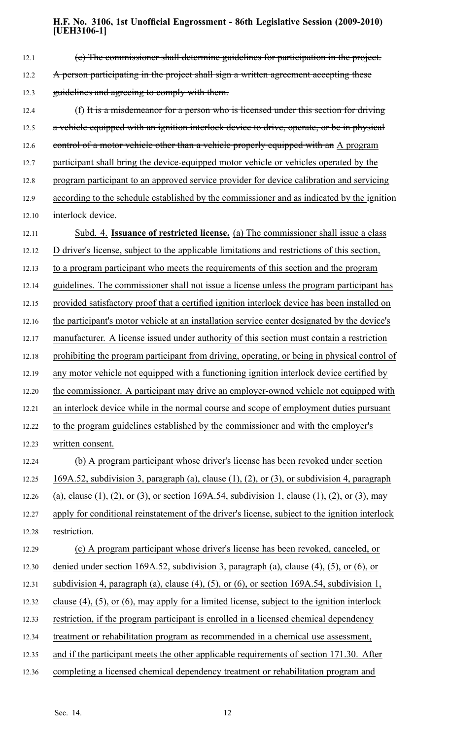| 12.1  | (e) The commissioner shall determine guidelines for participation in the project.                    |
|-------|------------------------------------------------------------------------------------------------------|
| 12.2  | A person participating in the project shall sign a written agreement accepting these                 |
| 12.3  | guidelines and agreeing to comply with them.                                                         |
| 12.4  | (f) It is a misdemeanor for a person who is licensed under this section for driving                  |
| 12.5  | a vehicle equipped with an ignition interlock device to drive, operate, or be in physical            |
| 12.6  | control of a motor vehicle other than a vehicle properly equipped with an A program                  |
| 12.7  | participant shall bring the device-equipped motor vehicle or vehicles operated by the                |
| 12.8  | program participant to an approved service provider for device calibration and servicing             |
| 12.9  | according to the schedule established by the commissioner and as indicated by the ignition           |
| 12.10 | interlock device.                                                                                    |
| 12.11 | Subd. 4. Issuance of restricted license. (a) The commissioner shall issue a class                    |
| 12.12 | D driver's license, subject to the applicable limitations and restrictions of this section,          |
| 12.13 | to a program participant who meets the requirements of this section and the program                  |
| 12.14 | guidelines. The commissioner shall not issue a license unless the program participant has            |
| 12.15 | provided satisfactory proof that a certified ignition interlock device has been installed on         |
| 12.16 | the participant's motor vehicle at an installation service center designated by the device's         |
| 12.17 | manufacturer. A license issued under authority of this section must contain a restriction            |
| 12.18 | prohibiting the program participant from driving, operating, or being in physical control of         |
| 12.19 | any motor vehicle not equipped with a functioning ignition interlock device certified by             |
| 12.20 | the commissioner. A participant may drive an employer-owned vehicle not equipped with                |
| 12.21 | an interlock device while in the normal course and scope of employment duties pursuant               |
| 12.22 | to the program guidelines established by the commissioner and with the employer's                    |
| 12.23 | written consent.                                                                                     |
| 12.24 | (b) A program participant whose driver's license has been revoked under section                      |
| 12.25 | $169A.52$ , subdivision 3, paragraph (a), clause (1), (2), or (3), or subdivision 4, paragraph       |
| 12.26 | (a), clause (1), (2), or (3), or section 169A.54, subdivision 1, clause (1), (2), or (3), may        |
| 12.27 | apply for conditional reinstatement of the driver's license, subject to the ignition interlock       |
| 12.28 | restriction.                                                                                         |
| 12.29 | (c) A program participant whose driver's license has been revoked, canceled, or                      |
| 12.30 | denied under section 169A.52, subdivision 3, paragraph (a), clause (4), (5), or (6), or              |
| 12.31 | subdivision 4, paragraph (a), clause (4), (5), or (6), or section $169A.54$ , subdivision 1,         |
| 12.32 | clause $(4)$ , $(5)$ , or $(6)$ , may apply for a limited license, subject to the ignition interlock |
| 12.33 | restriction, if the program participant is enrolled in a licensed chemical dependency                |
| 12.34 | treatment or rehabilitation program as recommended in a chemical use assessment,                     |
| 12.35 | and if the participant meets the other applicable requirements of section 171.30. After              |
| 12.36 | completing a licensed chemical dependency treatment or rehabilitation program and                    |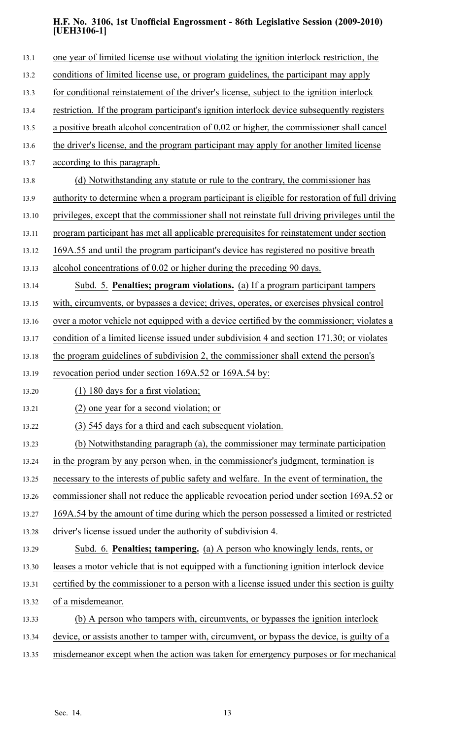| 13.1  | one year of limited license use without violating the ignition interlock restriction, the      |
|-------|------------------------------------------------------------------------------------------------|
| 13.2  | conditions of limited license use, or program guidelines, the participant may apply            |
| 13.3  | for conditional reinstatement of the driver's license, subject to the ignition interlock       |
| 13.4  | restriction. If the program participant's ignition interlock device subsequently registers     |
| 13.5  | a positive breath alcohol concentration of 0.02 or higher, the commissioner shall cancel       |
| 13.6  | the driver's license, and the program participant may apply for another limited license        |
| 13.7  | according to this paragraph.                                                                   |
| 13.8  | (d) Notwithstanding any statute or rule to the contrary, the commissioner has                  |
| 13.9  | authority to determine when a program participant is eligible for restoration of full driving  |
| 13.10 | privileges, except that the commissioner shall not reinstate full driving privileges until the |
| 13.11 | program participant has met all applicable prerequisites for reinstatement under section       |
| 13.12 | 169A.55 and until the program participant's device has registered no positive breath           |
| 13.13 | alcohol concentrations of 0.02 or higher during the preceding 90 days.                         |
| 13.14 | Subd. 5. Penalties; program violations. (a) If a program participant tampers                   |
| 13.15 | with, circumvents, or bypasses a device; drives, operates, or exercises physical control       |
| 13.16 | over a motor vehicle not equipped with a device certified by the commissioner; violates a      |
| 13.17 | condition of a limited license issued under subdivision 4 and section 171.30; or violates      |
| 13.18 | the program guidelines of subdivision 2, the commissioner shall extend the person's            |
| 13.19 | revocation period under section 169A.52 or 169A.54 by:                                         |
| 13.20 | $(1)$ 180 days for a first violation;                                                          |
| 13.21 | (2) one year for a second violation; or                                                        |
| 13.22 | (3) 545 days for a third and each subsequent violation.                                        |
| 13.23 | (b) Notwithstanding paragraph (a), the commissioner may terminate participation                |
| 13.24 | in the program by any person when, in the commissioner's judgment, termination is              |
| 13.25 | necessary to the interests of public safety and welfare. In the event of termination, the      |
| 13.26 | commissioner shall not reduce the applicable revocation period under section 169A.52 or        |
| 13.27 | 169A.54 by the amount of time during which the person possessed a limited or restricted        |
| 13.28 | driver's license issued under the authority of subdivision 4.                                  |
| 13.29 | Subd. 6. <b>Penalties; tampering.</b> (a) A person who knowingly lends, rents, or              |
| 13.30 | leases a motor vehicle that is not equipped with a functioning ignition interlock device       |
| 13.31 | certified by the commissioner to a person with a license issued under this section is guilty   |
| 13.32 | of a misdemeanor.                                                                              |
| 13.33 | (b) A person who tampers with, circumvents, or bypasses the ignition interlock                 |
| 13.34 | device, or assists another to tamper with, circumvent, or bypass the device, is guilty of a    |
| 13.35 | misdemeanor except when the action was taken for emergency purposes or for mechanical          |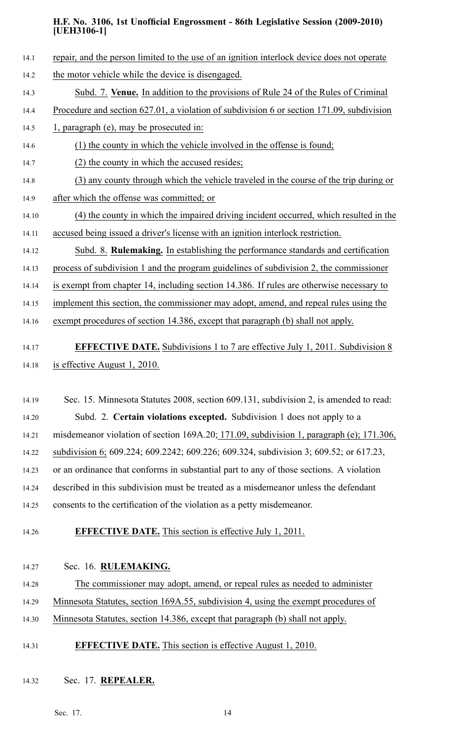- 14.1 repair, and the person limited to the use of an ignition interlock device does not operate 14.2 the motor vehicle while the device is disengaged. 14.3 Subd. 7. **Venue.** In addition to the provisions of Rule 24 of the Rules of Criminal 14.4 Procedure and section 627.01, <sup>a</sup> violation of subdivision 6 or section 171.09, subdivision 14.5 1, paragraph (e), may be prosecuted in: 14.6 (1) the county in which the vehicle involved in the offense is found; 14.7 (2) the county in which the accused resides; 14.8 (3) any county through which the vehicle traveled in the course of the trip during or 14.9 after which the offense was committed; or 14.10 (4) the county in which the impaired driving incident occurred, which resulted in the 14.11 accused being issued <sup>a</sup> driver's license with an ignition interlock restriction. 14.12 Subd. 8. **Rulemaking.** In establishing the performance standards and certification 14.13 process of subdivision 1 and the program guidelines of subdivision 2, the commissioner 14.14 is exemp<sup>t</sup> from chapter 14, including section 14.386. If rules are otherwise necessary to 14.15 implement this section, the commissioner may adopt, amend, and repeal rules using the 14.16 exemp<sup>t</sup> procedures of section 14.386, excep<sup>t</sup> that paragraph (b) shall not apply. 14.17 **EFFECTIVE DATE.** Subdivisions 1 to 7 are effective July 1, 2011. Subdivision 8 14.18 is effective August 1, 2010. 14.19 Sec. 15. Minnesota Statutes 2008, section 609.131, subdivision 2, is amended to read:
	- 14.20 Subd. 2. **Certain violations excepted.** Subdivision 1 does not apply to <sup>a</sup> 14.21 misdemeanor violation of section 169A.20; 171.09, subdivision 1, paragraph (e); 171.306, 14.22 subdivision 6; 609.224; 609.2242; 609.226; 609.324, subdivision 3; 609.52; or 617.23, 14.23 or an ordinance that conforms in substantial par<sup>t</sup> to any of those sections. A violation 14.24 described in this subdivision must be treated as <sup>a</sup> misdemeanor unless the defendant 14.25 consents to the certification of the violation as <sup>a</sup> petty misdemeanor.
	-

# 14.26 **EFFECTIVE DATE.** This section is effective July 1, 2011.

14.27 Sec. 16. **RULEMAKING.**

14.28 The commissioner may adopt, amend, or repeal rules as needed to administer

14.29 Minnesota Statutes, section 169A.55, subdivision 4, using the exemp<sup>t</sup> procedures of

14.30 Minnesota Statutes, section 14.386, excep<sup>t</sup> that paragraph (b) shall not apply.

- 14.31 **EFFECTIVE DATE.** This section is effective August 1, 2010.
- 14.32 Sec. 17. **REPEALER.**